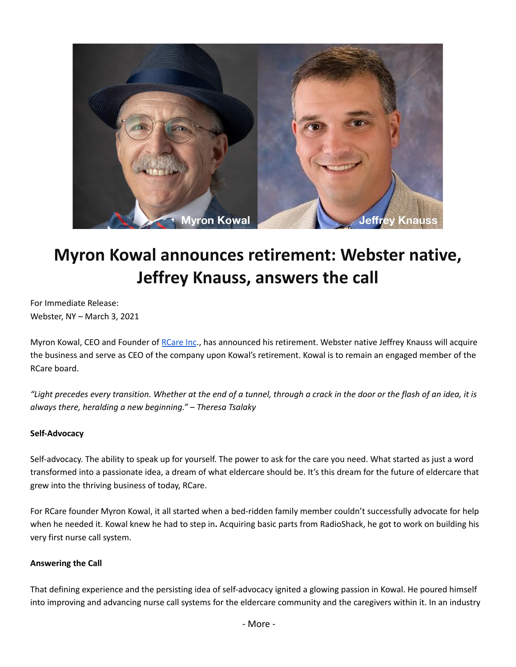

# **Myron Kowal announces retirement: Webster native, Jeffrey Knauss, answers the call**

For Immediate Release: Webster, NY – March 3, 2021

Myron Kowal, CEO and Founder of [RCare](https://rcareinc.com/) Inc., has announced his retirement. Webster native Jeffrey Knauss will acquire the business and serve as CEO of the company upon Kowal's retirement. Kowal is to remain an engaged member of the RCare board.

"Light precedes every transition. Whether at the end of a tunnel, through a crack in the door or the flash of an idea, it is *always there, heralding a new beginning." – Theresa Tsalaky*

# **Self-Advocacy**

Self-advocacy. The ability to speak up for yourself. The power to ask for the care you need. What started as just a word transformed into a passionate idea, a dream of what eldercare should be. It's this dream for the future of eldercare that grew into the thriving business of today, RCare.

For RCare founder Myron Kowal, it all started when a bed-ridden family member couldn't successfully advocate for help when he needed it. Kowal knew he had to step in**.** Acquiring basic parts from RadioShack, he got to work on building his very first nurse call system.

# **Answering the Call**

That defining experience and the persisting idea of self-advocacy ignited a glowing passion in Kowal. He poured himself into improving and advancing nurse call systems for the eldercare community and the caregivers within it. In an industry